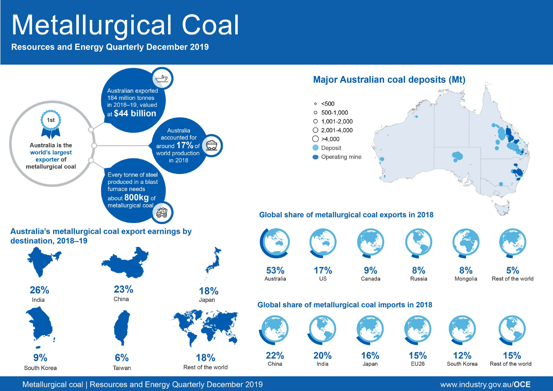# Metallurgical Coal

**Resources and Energy Quarterly December 2019** 



Metallurgical coal | Resources and Energy Quarterly December 2019

www.industry.gov.au/OCE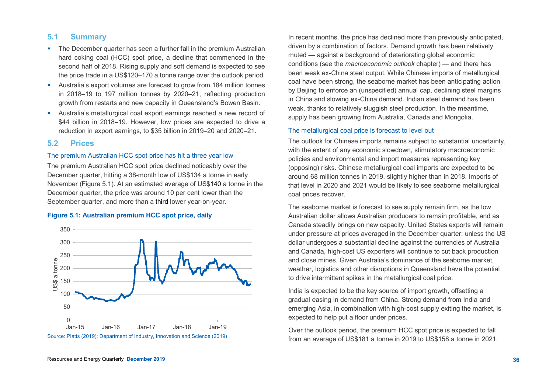## **5.1 Summary**

- The December quarter has seen a further fall in the premium Australian hard coking coal (HCC) spot price, a decline that commenced in the second half of 2018. Rising supply and soft demand is expected to see the price trade in a US\$120–170 a tonne range over the outlook period.
- Australia's export volumes are forecast to grow from 184 million tonnes in 2018–19 to 197 million tonnes by 2020–21, reflecting production growth from restarts and new capacity in Queensland's Bowen Basin.
- Australia's metallurgical coal export earnings reached a new record of \$44 billion in 2018–19. However, low prices are expected to drive a reduction in export earnings, to \$35 billion in 2019–20 and 2020–21.

## **5.2 Prices**

## The premium Australian HCC spot price has hit a three year low

The premium Australian HCC spot price declined noticeably over the December quarter, hitting a 38-month low of US\$134 a tonne in early November (Figure 5.1). At an estimated average of US\$140 a tonne in the December quarter, the price was around 10 per cent lower than the September quarter, and more than a third lower year-on-year.

#### **Figure 5.1: Australian premium HCC spot price, daily**



Source: Platts (2019); Department of Industry, Innovation and Science (2019)

In recent months, the price has declined more than previously anticipated, driven by a combination of factors. Demand growth has been relatively muted — against a background of deteriorating global economic conditions (see the *macroeconomic outlook* chapter) — and there has been weak ex-China steel output. While Chinese imports of metallurgical coal have been strong, the seaborne market has been anticipating action by Beijing to enforce an (unspecified) annual cap, declining steel margins in China and slowing ex-China demand. Indian steel demand has been weak, thanks to relatively sluggish steel production. In the meantime, supply has been growing from Australia, Canada and Mongolia.

#### The metallurgical coal price is forecast to level out

The outlook for Chinese imports remains subject to substantial uncertainty, with the extent of any economic slowdown, stimulatory macroeconomic policies and environmental and import measures representing key (opposing) risks. Chinese metallurgical coal imports are expected to be around 68 million tonnes in 2019, slightly higher than in 2018. Imports of that level in 2020 and 2021 would be likely to see seaborne metallurgical coal prices recover.

The seaborne market is forecast to see supply remain firm, as the low Australian dollar allows Australian producers to remain profitable, and as Canada steadily brings on new capacity. United States exports will remain under pressure at prices averaged in the December quarter: unless the US dollar undergoes a substantial decline against the currencies of Australia and Canada, high-cost US exporters will continue to cut back production and close mines. Given Australia's dominance of the seaborne market, weather, logistics and other disruptions in Queensland have the potential to drive intermittent spikes in the metallurgical coal price.

India is expected to be the key source of import growth, offsetting a gradual easing in demand from China. Strong demand from India and emerging Asia, in combination with high-cost supply exiting the market, is expected to help put a floor under prices.

Over the outlook period, the premium HCC spot price is expected to fall from an average of US\$181 a tonne in 2019 to US\$158 a tonne in 2021.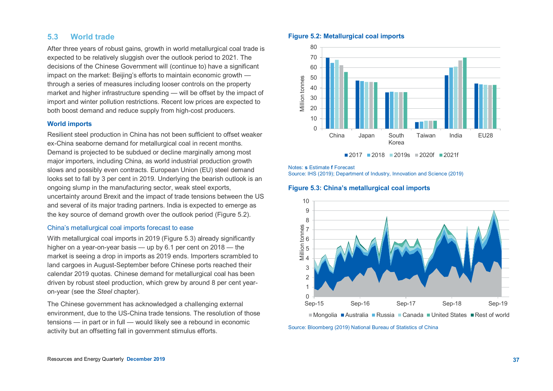## **5.3 World trade**

After three years of robust gains, growth in world metallurgical coal trade is expected to be relatively sluggish over the outlook period to 2021. The decisions of the Chinese Government will (continue to) have a significant impact on the market: Beijing's efforts to maintain economic growth through a series of measures including looser controls on the property market and higher infrastructure spending — will be offset by the impact of import and winter pollution restrictions. Recent low prices are expected to both boost demand and reduce supply from high-cost producers.

## **World imports**

Resilient steel production in China has not been sufficient to offset weaker ex-China seaborne demand for metallurgical coal in recent months. Demand is projected to be subdued or decline marginally among most major importers, including China, as world industrial production growth slows and possibly even contracts. European Union (EU) steel demand looks set to fall by 3 per cent in 2019. Underlying the bearish outlook is an ongoing slump in the manufacturing sector, weak steel exports, uncertainty around Brexit and the impact of trade tensions between the US and several of its major trading partners. India is expected to emerge as the key source of demand growth over the outlook period (Figure 5.2).

## China's metallurgical coal imports forecast to ease

With metallurgical coal imports in 2019 (Figure 5.3) already significantly higher on a year-on-year basis — up by 6.1 per cent on 2018 — the market is seeing a drop in imports as 2019 ends. Importers scrambled to land cargoes in August-September before Chinese ports reached their calendar 2019 quotas. Chinese demand for metallurgical coal has been driven by robust steel production, which grew by around 8 per cent yearon-year (see the *Steel* chapter).

The Chinese government has acknowledged a challenging external environment, due to the US-China trade tensions. The resolution of those tensions — in part or in full — would likely see a rebound in economic activity but an offsetting fall in government stimulus efforts.

## **Figure 5.2: Metallurgical coal imports**



2017 2018 2019s 2020f 2021f

Notes: **s** Estimate **f** Forecast

Source: IHS (2019); Department of Industry, Innovation and Science (2019)

#### **Figure 5.3: China's metallurgical coal imports**



■Mongolia ■Australia ■Russia ■Canada ■United States ■Rest of world

Source: Bloomberg (2019) National Bureau of Statistics of China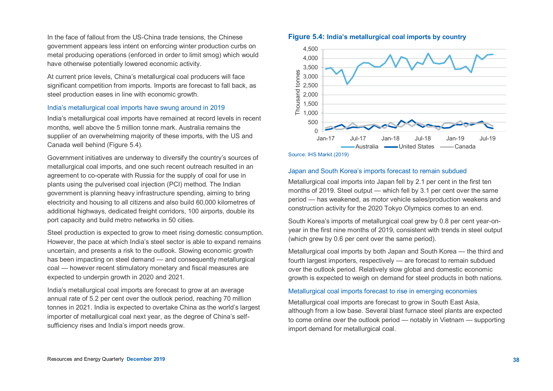In the face of fallout from the US-China trade tensions, the Chinese government appears less intent on enforcing winter production curbs on metal producing operations (enforced in order to limit smog) which would have otherwise potentially lowered economic activity.

At current price levels, China's metallurgical coal producers will face significant competition from imports. Imports are forecast to fall back, as steel production eases in line with economic growth.

## India's metallurgical coal imports have swung around in 2019

India's metallurgical coal imports have remained at record levels in recent months, well above the 5 million tonne mark. Australia remains the supplier of an overwhelming majority of these imports, with the US and Canada well behind (Figure 5.4).

Government initiatives are underway to diversify the country's sources of metallurgical coal imports, and one such recent outreach resulted in an agreement to co-operate with Russia for the supply of coal for use in plants using the pulverised coal injection (PCI) method. The Indian government is planning heavy infrastructure spending, aiming to bring electricity and housing to all citizens and also build 60,000 kilometres of additional highways, dedicated freight corridors, 100 airports, double its port capacity and build metro networks in 50 cities.

Steel production is expected to grow to meet rising domestic consumption. However, the pace at which India's steel sector is able to expand remains uncertain, and presents a risk to the outlook. Slowing economic growth has been impacting on steel demand — and consequently metallurgical coal — however recent stimulatory monetary and fiscal measures are expected to underpin growth in 2020 and 2021.

India's metallurgical coal imports are forecast to grow at an average annual rate of 5.2 per cent over the outlook period, reaching 70 million tonnes in 2021. India is expected to overtake China as the world's largest importer of metallurgical coal next year, as the degree of China's selfsufficiency rises and India's import needs grow.





#### Japan and South Korea's imports forecast to remain subdued

Metallurgical coal imports into Japan fell by 2.1 per cent in the first ten months of 2019. Steel output — which fell by 3.1 per cent over the same period — has weakened, as motor vehicle sales/production weakens and construction activity for the 2020 Tokyo Olympics comes to an end.

South Korea's imports of metallurgical coal grew by 0.8 per cent year-onyear in the first nine months of 2019, consistent with trends in steel output (which grew by 0.6 per cent over the same period).

Metallurgical coal imports by both Japan and South Korea — the third and fourth largest importers, respectively — are forecast to remain subdued over the outlook period. Relatively slow global and domestic economic growth is expected to weigh on demand for steel products in both nations.

## Metallurgical coal imports forecast to rise in emerging economies

Metallurgical coal imports are forecast to grow in South East Asia, although from a low base. Several blast furnace steel plants are expected to come online over the outlook period — notably in Vietnam — supporting import demand for metallurgical coal.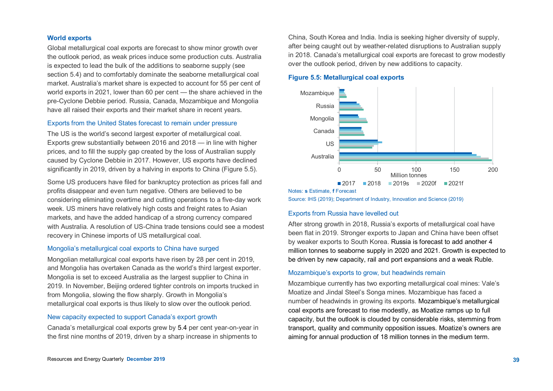#### **World exports**

Global metallurgical coal exports are forecast to show minor growth over the outlook period, as weak prices induce some production cuts. Australia is expected to lead the bulk of the additions to seaborne supply (see section 5.4) and to comfortably dominate the seaborne metallurgical coal market. Australia's market share is expected to account for 55 per cent of world exports in 2021, lower than 60 per cent — the share achieved in the pre-Cyclone Debbie period. Russia, Canada, Mozambique and Mongolia have all raised their exports and their market share in recent years.

## Exports from the United States forecast to remain under pressure

The US is the world's second largest exporter of metallurgical coal. Exports grew substantially between 2016 and 2018 — in line with higher prices, and to fill the supply gap created by the loss of Australian supply caused by Cyclone Debbie in 2017. However, US exports have declined significantly in 2019, driven by a halving in exports to China (Figure 5.5).

Some US producers have filed for bankruptcy protection as prices fall and profits disappear and even turn negative. Others are believed to be considering eliminating overtime and cutting operations to a five-day work week. US miners have relatively high costs and freight rates to Asian markets, and have the added handicap of a strong currency compared with Australia. A resolution of US-China trade tensions could see a modest recovery in Chinese imports of US metallurgical coal.

## Mongolia's metallurgical coal exports to China have surged

Mongolian metallurgical coal exports have risen by 28 per cent in 2019, and Mongolia has overtaken Canada as the world's third largest exporter. Mongolia is set to exceed Australia as the largest supplier to China in 2019. In November, Beijing ordered tighter controls on imports trucked in from Mongolia, slowing the flow sharply. Growth in Mongolia's metallurgical coal exports is thus likely to slow over the outlook period.

## New capacity expected to support Canada's export growth

Canada's metallurgical coal exports grew by 5.4 per cent year-on-year in the first nine months of 2019, driven by a sharp increase in shipments to

China, South Korea and India. India is seeking higher diversity of supply, after being caught out by weather-related disruptions to Australian supply in 2018. Canada's metallurgical coal exports are forecast to grow modestly over the outlook period, driven by new additions to capacity.

#### **Figure 5.5: Metallurgical coal exports**



Notes: **s** Estimate, **f** Forecast

Source: IHS (2019); Department of Industry, Innovation and Science (2019)

#### Exports from Russia have levelled out

After strong growth in 2018, Russia's exports of metallurgical coal have been flat in 2019. Stronger exports to Japan and China have been offset by weaker exports to South Korea. Russia is forecast to add another 4 million tonnes to seaborne supply in 2020 and 2021. Growth is expected to be driven by new capacity, rail and port expansions and a weak Ruble.

#### Mozambique's exports to grow, but headwinds remain

Mozambique currently has two exporting metallurgical coal mines: Vale's Moatize and Jindal Steel's Songa mines. Mozambique has faced a number of headwinds in growing its exports. Mozambique's metallurgical coal exports are forecast to rise modestly, as Moatize ramps up to full capacity, but the outlook is clouded by considerable risks, stemming from transport, quality and community opposition issues. Moatize's owners are aiming for annual production of 18 million tonnes in the medium term.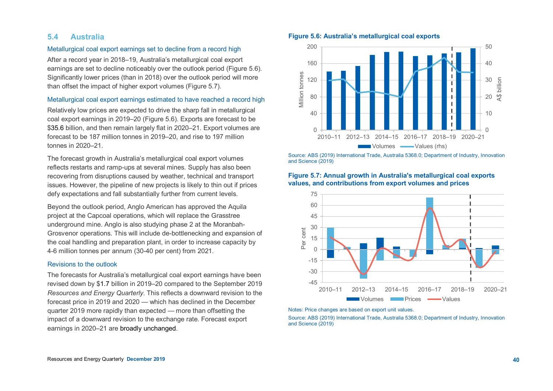## **5.4 Australia**

## Metallurgical coal export earnings set to decline from a record high

After a record year in 2018–19, Australia's metallurgical coal export earnings are set to decline noticeably over the outlook period (Figure 5.6). Significantly lower prices (than in 2018) over the outlook period will more than offset the impact of higher export volumes (Figure 5.7).

## Metallurgical coal export earnings estimated to have reached a record high

Relatively low prices are expected to drive the sharp fall in metallurgical coal export earnings in 2019–20 (Figure 5.6). Exports are forecast to be \$35.6 billion, and then remain largely flat in 2020–21. Export volumes are forecast to be 187 million tonnes in 2019–20, and rise to 197 million tonnes in 2020–21.

The forecast growth in Australia's metallurgical coal export volumes reflects restarts and ramp-ups at several mines. Supply has also been recovering from disruptions caused by weather, technical and transport issues. However, the pipeline of new projects is likely to thin out if prices defy expectations and fall substantially further from current levels.

Beyond the outlook period, Anglo American has approved the Aquila project at the Capcoal operations, which will replace the Grasstree underground mine. Anglo is also studying phase 2 at the Moranbah-Grosvenor operations. This will include de-bottlenecking and expansion of the coal handling and preparation plant, in order to increase capacity by 4-6 million tonnes per annum (30-40 per cent) from 2021.

## Revisions to the outlook

The forecasts for Australia's metallurgical coal export earnings have been revised down by \$1.7 billion in 2019–20 compared to the September 2019 *Resources and Energy Quarterly*. This reflects a downward revision to the forecast price in 2019 and 2020 — which has declined in the December quarter 2019 more rapidly than expected — more than offsetting the impact of a downward revision to the exchange rate. Forecast export earnings in 2020–21 are broadly unchanged.





Source: ABS (2019) International Trade, Australia 5368.0; Department of Industry, Innovation and Science (2019)





Notes: Price changes are based on export unit values.

Source: ABS (2019) International Trade, Australia 5368.0; Department of Industry, Innovation and Science (2019)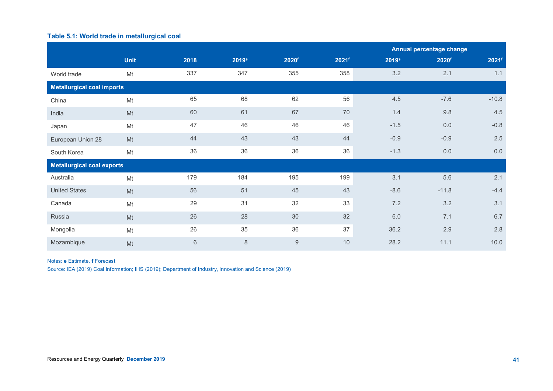# **Table 5.1: World trade in metallurgical coal**

|                                   |             |      |                   |                   |                   |                   | Annual percentage change |                     |  |
|-----------------------------------|-------------|------|-------------------|-------------------|-------------------|-------------------|--------------------------|---------------------|--|
|                                   | <b>Unit</b> | 2018 | 2019 <sup>s</sup> | 2020 <sup>f</sup> | 2021 <sup>f</sup> | 2019 <sup>s</sup> | 2020 <sup>f</sup>        | $2021$ <sup>f</sup> |  |
| World trade                       | Mt          | 337  | 347               | 355               | 358               | 3.2               | 2.1                      | 1.1                 |  |
| <b>Metallurgical coal imports</b> |             |      |                   |                   |                   |                   |                          |                     |  |
| China                             | Mt          | 65   | 68                | 62                | 56                | 4.5               | $-7.6$                   | $-10.8$             |  |
| India                             | Mt          | 60   | 61                | 67                | 70                | 1.4               | 9.8                      | 4.5                 |  |
| Japan                             | Mt          | 47   | 46                | 46                | 46                | $-1.5$            | 0.0                      | $-0.8$              |  |
| European Union 28                 | Mt          | 44   | 43                | 43                | 44                | $-0.9$            | $-0.9$                   | 2.5                 |  |
| South Korea                       | Mt          | 36   | 36                | 36                | 36                | $-1.3$            | 0.0                      | $0.0\,$             |  |
| <b>Metallurgical coal exports</b> |             |      |                   |                   |                   |                   |                          |                     |  |
| Australia                         | Mt          | 179  | 184               | 195               | 199               | 3.1               | 5.6                      | 2.1                 |  |
| <b>United States</b>              | Mt          | 56   | 51                | 45                | 43                | $-8.6$            | $-11.8$                  | $-4.4$              |  |
| Canada                            | Mt          | 29   | 31                | 32                | 33                | 7.2               | 3.2                      | 3.1                 |  |
| Russia                            | Mt          | 26   | 28                | 30                | 32                | 6.0               | 7.1                      | 6.7                 |  |
| Mongolia                          | Mt          | 26   | 35                | 36                | 37                | 36.2              | 2.9                      | 2.8                 |  |
| Mozambique                        | Mt          | 6    | $\,8\,$           | $\boldsymbol{9}$  | 10                | 28.2              | 11.1                     | 10.0                |  |

Notes: **e** Estimate. **f** Forecast

Source: IEA (2019) Coal Information; IHS (2019); Department of Industry, Innovation and Science (2019)